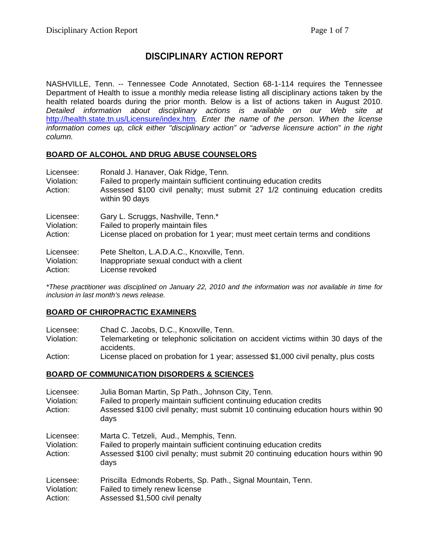# **DISCIPLINARY ACTION REPORT**

NASHVILLE, Tenn. -- Tennessee Code Annotated, Section 68-1-114 requires the Tennessee Department of Health to issue a monthly media release listing all disciplinary actions taken by the health related boards during the prior month. Below is a list of actions taken in August 2010. *Detailed information about disciplinary actions is available on our Web site at*  <http://health.state.tn.us/Licensure/index.htm>*. Enter the name of the person. When the license information comes up, click either "disciplinary action" or "adverse licensure action" in the right column.* 

#### **BOARD OF ALCOHOL AND DRUG ABUSE COUNSELORS**

| Licensee:<br>Violation:<br>Action: | Ronald J. Hanaver, Oak Ridge, Tenn.<br>Failed to properly maintain sufficient continuing education credits<br>Assessed \$100 civil penalty; must submit 27 1/2 continuing education credits<br>within 90 days |
|------------------------------------|---------------------------------------------------------------------------------------------------------------------------------------------------------------------------------------------------------------|
| Licensee:                          | Gary L. Scruggs, Nashville, Tenn.*                                                                                                                                                                            |
| Violation:                         | Failed to properly maintain files                                                                                                                                                                             |
| Action:                            | License placed on probation for 1 year; must meet certain terms and conditions                                                                                                                                |
| Licensee:                          | Pete Shelton, L.A.D.A.C., Knoxville, Tenn.                                                                                                                                                                    |
| Violation:                         | Inappropriate sexual conduct with a client                                                                                                                                                                    |
| Action:                            | License revoked                                                                                                                                                                                               |

*\*These practitioner was disciplined on January 22, 2010 and the information was not available in time for inclusion in last month's news release.* 

#### **BOARD OF CHIROPRACTIC EXAMINERS**

| Licensee:  | Chad C. Jacobs, D.C., Knoxville, Tenn.                                             |
|------------|------------------------------------------------------------------------------------|
| Violation: | Telemarketing or telephonic solicitation on accident victims within 30 days of the |
|            | accidents.                                                                         |
| Action:    | License placed on probation for 1 year; assessed \$1,000 civil penalty, plus costs |

#### **BOARD OF COMMUNICATION DISORDERS & SCIENCES**

| Licensee:<br>Violation:<br>Action: | Julia Boman Martin, Sp Path., Johnson City, Tenn.<br>Failed to properly maintain sufficient continuing education credits<br>Assessed \$100 civil penalty; must submit 10 continuing education hours within 90<br>days |
|------------------------------------|-----------------------------------------------------------------------------------------------------------------------------------------------------------------------------------------------------------------------|
| Licensee:<br>Violation:<br>Action: | Marta C. Tetzeli, Aud., Memphis, Tenn.<br>Failed to properly maintain sufficient continuing education credits<br>Assessed \$100 civil penalty; must submit 20 continuing education hours within 90<br>days            |
| Licensee:<br>Violation:<br>Action: | Priscilla Edmonds Roberts, Sp. Path., Signal Mountain, Tenn.<br>Failed to timely renew license<br>Assessed \$1,500 civil penalty                                                                                      |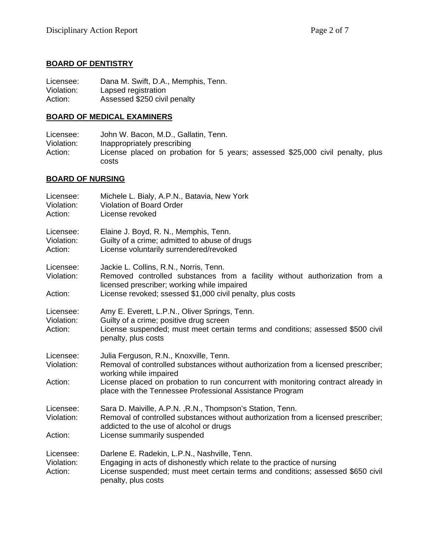### **BOARD OF DENTISTRY**

Licensee: Dana M. Swift, D.A., Memphis, Tenn. Violation: Lapsed registration Action: Assessed \$250 civil penalty

### **BOARD OF MEDICAL EXAMINERS**

Licensee: John W. Bacon, M.D., Gallatin, Tenn.<br>Violation: Inappropriately prescribing Inappropriately prescribing Action: License placed on probation for 5 years; assessed \$25,000 civil penalty, plus costs

# **BOARD OF NURSING**

| Licensee:<br>Violation:<br>Action: | Michele L. Bialy, A.P.N., Batavia, New York<br>Violation of Board Order<br>License revoked                                                                                                                                                                                                              |
|------------------------------------|---------------------------------------------------------------------------------------------------------------------------------------------------------------------------------------------------------------------------------------------------------------------------------------------------------|
| Licensee:<br>Violation:<br>Action: | Elaine J. Boyd, R. N., Memphis, Tenn.<br>Guilty of a crime; admitted to abuse of drugs<br>License voluntarily surrendered/revoked                                                                                                                                                                       |
| Licensee:<br>Violation:<br>Action: | Jackie L. Collins, R.N., Norris, Tenn.<br>Removed controlled substances from a facility without authorization from a<br>licensed prescriber; working while impaired<br>License revoked; ssessed \$1,000 civil penalty, plus costs                                                                       |
| Licensee:<br>Violation:<br>Action: | Amy E. Everett, L.P.N., Oliver Springs, Tenn.<br>Guilty of a crime; positive drug screen<br>License suspended; must meet certain terms and conditions; assessed \$500 civil<br>penalty, plus costs                                                                                                      |
| Licensee:<br>Violation:<br>Action: | Julia Ferguson, R.N., Knoxville, Tenn.<br>Removal of controlled substances without authorization from a licensed prescriber;<br>working while impaired<br>License placed on probation to run concurrent with monitoring contract already in<br>place with the Tennessee Professional Assistance Program |
| Licensee:<br>Violation:<br>Action: | Sara D. Maiville, A.P.N., R.N., Thompson's Station, Tenn.<br>Removal of controlled substances without authorization from a licensed prescriber;<br>addicted to the use of alcohol or drugs<br>License summarily suspended                                                                               |
| Licensee:<br>Violation:<br>Action: | Darlene E. Radekin, L.P.N., Nashville, Tenn.<br>Engaging in acts of dishonestly which relate to the practice of nursing<br>License suspended; must meet certain terms and conditions; assessed \$650 civil<br>penalty, plus costs                                                                       |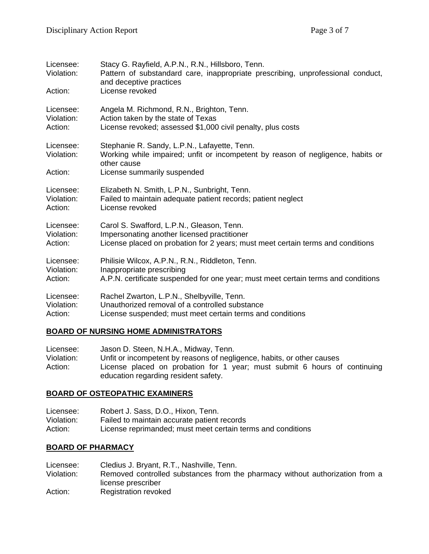| Licensee:<br>Violation: | Stacy G. Rayfield, A.P.N., R.N., Hillsboro, Tenn.<br>Pattern of substandard care, inappropriate prescribing, unprofessional conduct,<br>and deceptive practices |
|-------------------------|-----------------------------------------------------------------------------------------------------------------------------------------------------------------|
| Action:                 | License revoked                                                                                                                                                 |
| Licensee:               | Angela M. Richmond, R.N., Brighton, Tenn.                                                                                                                       |
| Violation:              | Action taken by the state of Texas                                                                                                                              |
| Action:                 | License revoked; assessed \$1,000 civil penalty, plus costs                                                                                                     |
| Licensee:<br>Violation: | Stephanie R. Sandy, L.P.N., Lafayette, Tenn.<br>Working while impaired; unfit or incompetent by reason of negligence, habits or<br>other cause                  |
| Action:                 | License summarily suspended                                                                                                                                     |
| Licensee:               | Elizabeth N. Smith, L.P.N., Sunbright, Tenn.                                                                                                                    |
| Violation:              | Failed to maintain adequate patient records; patient neglect                                                                                                    |
| Action:                 | License revoked                                                                                                                                                 |
| Licensee:               | Carol S. Swafford, L.P.N., Gleason, Tenn.                                                                                                                       |
| Violation:              | Impersonating another licensed practitioner                                                                                                                     |
| Action:                 | License placed on probation for 2 years; must meet certain terms and conditions                                                                                 |
| Licensee:               | Philisie Wilcox, A.P.N., R.N., Riddleton, Tenn.                                                                                                                 |
| Violation:              | Inappropriate prescribing                                                                                                                                       |
| Action:                 | A.P.N. certificate suspended for one year; must meet certain terms and conditions                                                                               |
| Licensee:               | Rachel Zwarton, L.P.N., Shelbyville, Tenn.                                                                                                                      |
| Violation:              | Unauthorized removal of a controlled substance                                                                                                                  |
| Action:                 | License suspended; must meet certain terms and conditions                                                                                                       |

#### **BOARD OF NURSING HOME ADMINISTRATORS**

| Licensee:  | Jason D. Steen, N.H.A., Midway, Tenn.                                     |
|------------|---------------------------------------------------------------------------|
| Violation: | Unfit or incompetent by reasons of negligence, habits, or other causes    |
| Action:    | License placed on probation for 1 year; must submit 6 hours of continuing |
|            | education regarding resident safety.                                      |

# **BOARD OF OSTEOPATHIC EXAMINERS**

| Licensee:  | Robert J. Sass, D.O., Hixon, Tenn.                          |
|------------|-------------------------------------------------------------|
| Violation: | Failed to maintain accurate patient records                 |
| Action:    | License reprimanded; must meet certain terms and conditions |

# **BOARD OF PHARMACY**

Licensee: Cledius J. Bryant, R.T., Nashville, Tenn.<br>Violation: Removed controlled substances from th Removed controlled substances from the pharmacy without authorization from a license prescriber Action: Registration revoked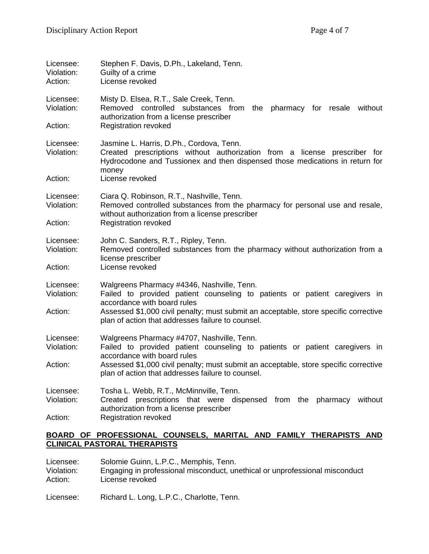| Licensee:<br>Violation:<br>Action: | Stephen F. Davis, D.Ph., Lakeland, Tenn.<br>Guilty of a crime<br>License revoked                                                                                                                               |
|------------------------------------|----------------------------------------------------------------------------------------------------------------------------------------------------------------------------------------------------------------|
| Licensee:<br>Violation:            | Misty D. Elsea, R.T., Sale Creek, Tenn.<br>Removed controlled substances from the<br>pharmacy for resale<br>without<br>authorization from a license prescriber                                                 |
| Action:                            | <b>Registration revoked</b>                                                                                                                                                                                    |
| Licensee:<br>Violation:            | Jasmine L. Harris, D.Ph., Cordova, Tenn.<br>Created prescriptions without authorization from a license prescriber for<br>Hydrocodone and Tussionex and then dispensed those medications in return for<br>money |
| Action:                            | License revoked                                                                                                                                                                                                |
| Licensee:<br>Violation:            | Ciara Q. Robinson, R.T., Nashville, Tenn.<br>Removed controlled substances from the pharmacy for personal use and resale,<br>without authorization from a license prescriber                                   |
| Action:                            | <b>Registration revoked</b>                                                                                                                                                                                    |
| Licensee:<br>Violation:            | John C. Sanders, R.T., Ripley, Tenn.<br>Removed controlled substances from the pharmacy without authorization from a<br>license prescriber                                                                     |
| Action:                            | License revoked                                                                                                                                                                                                |
| Licensee:<br>Violation:            | Walgreens Pharmacy #4346, Nashville, Tenn.<br>Failed to provided patient counseling to patients or patient caregivers in<br>accordance with board rules                                                        |
| Action:                            | Assessed \$1,000 civil penalty; must submit an acceptable, store specific corrective<br>plan of action that addresses failure to counsel.                                                                      |
| Licensee:                          | Walgreens Pharmacy #4707, Nashville, Tenn.                                                                                                                                                                     |
| Violation:                         | Failed to provided patient counseling to patients or patient caregivers in<br>accordance with board rules                                                                                                      |
| Action:                            | Assessed \$1,000 civil penalty; must submit an acceptable, store specific corrective<br>plan of action that addresses failure to counsel.                                                                      |
| Licensee:                          | Tosha L. Webb, R.T., McMinnville, Tenn.                                                                                                                                                                        |
| Violation:                         | Created prescriptions that were dispensed from the<br>without<br>pharmacy<br>authorization from a license prescriber                                                                                           |
| Action:                            | <b>Registration revoked</b>                                                                                                                                                                                    |

#### **BOARD OF PROFESSIONAL COUNSELS, MARITAL AND FAMILY THERAPISTS AND CLINICAL PASTORAL THERAPISTS**

| Licensee:             | Solomie Guinn, L.P.C., Memphis, Tenn.                                                          |
|-----------------------|------------------------------------------------------------------------------------------------|
| Violation:<br>Action: | Engaging in professional misconduct, unethical or unprofessional misconduct<br>License revoked |
|                       |                                                                                                |

Licensee: Richard L. Long, L.P.C., Charlotte, Tenn.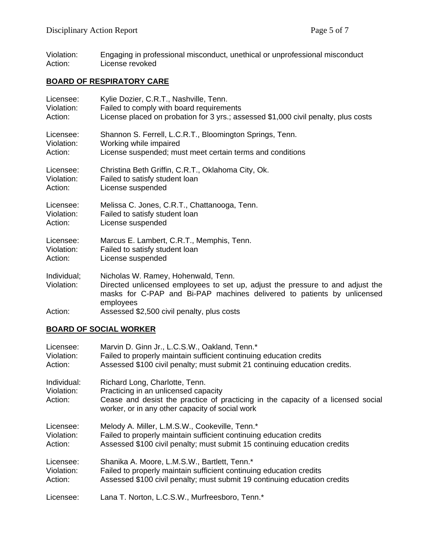Violation: Engaging in professional misconduct, unethical or unprofessional misconduct Action: License revoked

# **BOARD OF RESPIRATORY CARE**

| Licensee:                 | Kylie Dozier, C.R.T., Nashville, Tenn.                                                                                                                                                                        |
|---------------------------|---------------------------------------------------------------------------------------------------------------------------------------------------------------------------------------------------------------|
| Violation:                | Failed to comply with board requirements                                                                                                                                                                      |
| Action:                   | License placed on probation for 3 yrs.; assessed \$1,000 civil penalty, plus costs                                                                                                                            |
| Licensee:                 | Shannon S. Ferrell, L.C.R.T., Bloomington Springs, Tenn.                                                                                                                                                      |
| Violation:                | Working while impaired                                                                                                                                                                                        |
| Action:                   | License suspended; must meet certain terms and conditions                                                                                                                                                     |
| Licensee:                 | Christina Beth Griffin, C.R.T., Oklahoma City, Ok.                                                                                                                                                            |
| Violation:                | Failed to satisfy student loan                                                                                                                                                                                |
| Action:                   | License suspended                                                                                                                                                                                             |
| Licensee:                 | Melissa C. Jones, C.R.T., Chattanooga, Tenn.                                                                                                                                                                  |
| Violation:                | Failed to satisfy student loan                                                                                                                                                                                |
| Action:                   | License suspended                                                                                                                                                                                             |
| Licensee:                 | Marcus E. Lambert, C.R.T., Memphis, Tenn.                                                                                                                                                                     |
| Violation:                | Failed to satisfy student loan                                                                                                                                                                                |
| Action:                   | License suspended                                                                                                                                                                                             |
| Individual;<br>Violation: | Nicholas W. Ramey, Hohenwald, Tenn.<br>Directed unlicensed employees to set up, adjust the pressure to and adjust the<br>masks for C-PAP and Bi-PAP machines delivered to patients by unlicensed<br>employees |
| Action:                   | Assessed \$2,500 civil penalty, plus costs                                                                                                                                                                    |

# **BOARD OF SOCIAL WORKER**

| Licensee:                            | Marvin D. Ginn Jr., L.C.S.W., Oakland, Tenn.*                                                                                                                                                                 |
|--------------------------------------|---------------------------------------------------------------------------------------------------------------------------------------------------------------------------------------------------------------|
| Violation:                           | Failed to properly maintain sufficient continuing education credits                                                                                                                                           |
| Action:                              | Assessed \$100 civil penalty; must submit 21 continuing education credits.                                                                                                                                    |
| Individual:<br>Violation:<br>Action: | Richard Long, Charlotte, Tenn.<br>Practicing in an unlicensed capacity<br>Cease and desist the practice of practicing in the capacity of a licensed social<br>worker, or in any other capacity of social work |
| Licensee:                            | Melody A. Miller, L.M.S.W., Cookeville, Tenn.*                                                                                                                                                                |
| Violation:                           | Failed to properly maintain sufficient continuing education credits                                                                                                                                           |
| Action:                              | Assessed \$100 civil penalty; must submit 15 continuing education credits                                                                                                                                     |
| Licensee:                            | Shanika A. Moore, L.M.S.W., Bartlett, Tenn.*                                                                                                                                                                  |
| Violation:                           | Failed to properly maintain sufficient continuing education credits                                                                                                                                           |
| Action:                              | Assessed \$100 civil penalty; must submit 19 continuing education credits                                                                                                                                     |
| Licensee:                            | Lana T. Norton, L.C.S.W., Murfreesboro, Tenn.*                                                                                                                                                                |